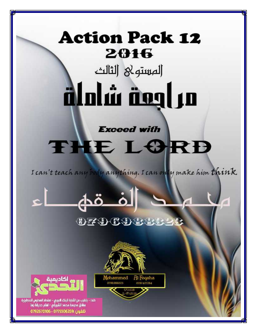## **Action Pack 12** 2016

المستولا الثالث 

**Exceed with** 

# THE LORD

I can't teach any body anything. I can only make him think



Mohammed

0796988323

## 0796988821

Al Foqaha

0787427284



خلدا - بالقرب من أشارة البنك العربى - امتداد المدارس التنظيرية مظابل مدرسة محمد الشريقى - امام حديقة زها تلفون :0775506269 - 0792670106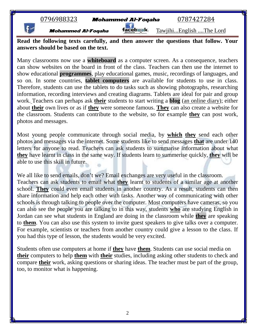

**Mohammed Al-Foqaha Tacebwk** Tawjihi...English ....The Lord

**Read the following texts carefully, and then answer the questions that follow. Your answers should be based on the text.**

Many classrooms now use a **whiteboard** as a computer screen. As a consequence, teachers can show websites on the board in front of the class. Teachers can then use the internet to show educational **programmes**, play educational games, music, recordings of languages, and so on. In some countries, **tablet computers** are available for students to use in class. Therefore, students can use the tablets to do tasks such as showing photographs, researching information, recording interviews and creating diagrams. Tablets are ideal for pair and group work. Teachers can perhaps ask **their** students to start writing a **blog** (an online diary); either about **their** own lives or as if **they** were someone famous. **They** can also create a website for the classroom. Students can contribute to the website, so for example **they** can post work, photos and messages.

Most young people communicate through social media, by **which they** send each other photos and messages via the internet. Some students like to send messages **that** are under 140 letters for anyone to read. Teachers can ask students to summarise information about what **they** have learnt in class in the same way. If students learn to summerise quickly, **they** will be able to use this skill in future.

We all like to send emails, don't we? Email exchanges are very useful in the classroom. Teachers can ask students to email what **they** learnt to students of a similar age at another school. **They** could even email students in another country. As a result, students can then share information and help each other with tasks. Another way of communicating with other schools is through talking to people over the computer. Most computers have cameras, so you can also see the people you are talking to in this way, students **who** are studying English in Jordan can see what students in England are doing in the classroom while **they** are speaking to **them**. You can also use this system to invite guest speakers to give talks over a computer. For example, scientists or teachers from another country could give a lesson to the class. If you had this type of lesson, the students would be very excited.

Students often use computers at home if **they** have **them**. Students can use social media on **their** computers to help **them** with **their** studies, including asking other students to check and compare **their** work, asking questions or sharing ideas. The teacher must be part of the group, too, to monitor what is happening.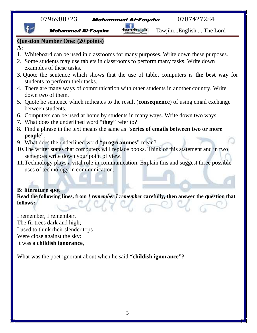

What was the poet ignorant about when he said **"childish ignorance"?**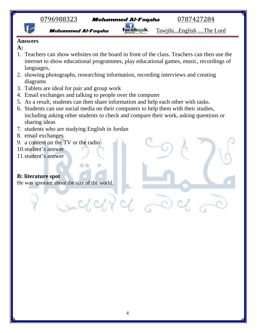

**Mohammed Al-Foqaha Tacebask**. Tawjihi...English ....The Lord

#### **Answers**

- **A:**
- 1. Teachers can show websites on the board in front of the class. Teachers can then use the internet to show educational programmes, play educational games, music, recordings of languages**.**
- 2. showing photographs, researching information, recording interviews and creating diagrams
- 3. Tablets are ideal for pair and group work
- 4. Email exchanges and talking to people over the computer
- 5. As a result, students can then share information and help each other with tasks.
- 6. Students can use social media on their computers to help them with their studies, including asking other students to check and compare their work, asking questions or sharing ideas
- 7. students who are studying English in Jordan
- 8. email exchanges
- 9. a content on the TV or the radio
- 10.student's answer
- 11.student's answer

## **B: literature spot**

He was ignorant about the size of the world.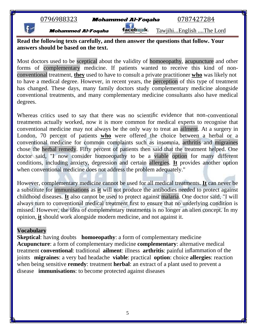| 0796988323 |  |  |  |  |  |  |  |  |  |  |  |
|------------|--|--|--|--|--|--|--|--|--|--|--|
|------------|--|--|--|--|--|--|--|--|--|--|--|

Mohammed Al-Foqaha facebwak. Tawjihi...English ....The Lord

**Read the following texts carefully, and then answer the questions that follow. Your answers should be based on the text.**

Most doctors used to be sceptical about the validity of homoeopathy, acupuncture and other forms of complementary medicine. If patients wanted to receive this kind of non conventional treatment, **they** used to have to consult a private practitioner **who** was likely not to have a medical degree. However, in recent years, the perception of this type of treatment has changed. These days, many family doctors study complementary medicine alongside conventional treatments, and many complementary medicine consultants also have medical degrees.

Whereas critics used to say that there was no scientific evidence that non-conventional treatments actually worked, now it is more common for medical experts to recognise that conventional medicine may not always be the only way to treat an ailment. At a surgery in London, 70 percent of patients **who** were offered the choice between a herbal or a conventional medicine for common complaints such as insomnia, arthritis and migraines chose the herbal remedy. Fifty percent of patients then said that the treatment helped. One doctor said, "I now consider homoeopathy to be a viable option for many different conditions, including anxiety, depression and certain allergies. **It** provides another option when conventional medicine does not address the problem adequately."

However, complementary medicine cannot be used for all medical treatments. **It** can never be a substitute for immunisations as **it** will not produce the antibodies needed to protect against childhood diseases. **It** also cannot be used to protect against malaria. One doctor said, "I will always turn to conventional medical treatment first to ensure that no underlying condition is missed. However, the idea of complementary treatments is no longer an alien concept. In my opinion, **it** should work alongside modern medicine, and not against it.

#### **Vocabulary**

**Skeptical:** having doubts **homoeopathy:** a form of complementary medicine **Acupuncture**: a form of complementary medicine **complementary**: alternative medical treatment **conventional**: traditional **ailment**: illness **arthritis**: painful inflammation of the joints **migraines**: a very bad headache **viable**: practical **option**: choice **allergies**: reaction when being sensitive **remedy**: treatment **herbal**: an extract of a plant used to prevent a disease **immunisations**: to become protected against diseases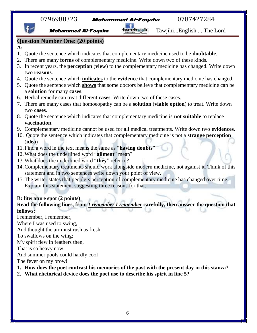| 0796988323<br>0787427284<br><b>Mohammed Al-Foqaha</b>                                                                |
|----------------------------------------------------------------------------------------------------------------------|
| <u>TawjihiEnglish The Lord</u><br><b>Mohammed Al-Foqaha</b>                                                          |
| <b>Question Number One: (20 points)</b>                                                                              |
| A:                                                                                                                   |
| Quote the sentence which indicates that complementary medicine used to be <b>doubtable</b> .<br>1.                   |
| There are many forms of complementary medicine. Write down two of these kinds.<br>2.                                 |
| In recent years, the <b>perception</b> (view) to the complementary medicine has changed. Write down<br>3.            |
| two reasons.                                                                                                         |
| 4. Quote the sentence which <i>indicates</i> to the evidence that complementary medicine has changed.                |
| 5. Quote the sentence which shows that some doctors believe that complementary medicine can be                       |
| a solution for many cases.                                                                                           |
| 6. Herbal remedy can treat different cases. Write down two of these cases.                                           |
| 7. There are many cases that homoeopathy can be a <b>solution</b> (viable option) to treat. Write down<br>two cases. |
| 8. Quote the sentence which indicates that complementary medicine is <b>not suitable</b> to replace                  |
| vaccination.                                                                                                         |
| 9. Complementary medicine cannot be used for all medical treatments. Write down two evidences.                       |
| 10. Quote the sentence which indicates that complementary medicine is not a <b>strange perception</b>                |
| (idea)                                                                                                               |
| 11. Find a word in the text means the same as "having doubts"                                                        |
| 12. What does the underlined word "ailment" mean?                                                                    |
| 13. What does the underlined word "they" refer to?                                                                   |
| 14. Complementary treatments should work alongside modern medicine, not against it. Think of this                    |
| statement and in two sentences write down your point of view.                                                        |
| 15. The writer states that people's perception of complementary medicine has changed over time.                      |
| Explain this statement suggesting three reasons for that.                                                            |
|                                                                                                                      |
| <b>B:</b> literature spot (2 points)                                                                                 |
| Read the following lines, from <i>I remember I remember</i> carefully, then answer the question that                 |
| follows:                                                                                                             |
| I remember, I remember,                                                                                              |
| Where I was used to swing,                                                                                           |
| And thought the air must rush as fresh                                                                               |
| To swallows on the wing;<br>My spirit flew in feathers then,                                                         |
| That is so heavy now,                                                                                                |
| And summer pools could hardly cool                                                                                   |
| The fever on my brow!                                                                                                |
| 1. How does the poet contrast his memories of the past with the present day in this stanza?                          |
|                                                                                                                      |

**2. What rhetorical device does the poet use to describe his spirit in line 5?**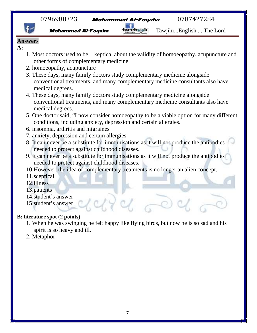



- 
- **Mohammed Al-Foqaha Tacebask** Tawjihi...English ....The Lord
- **Answers**
- **A:**
- 1. Most doctors used to be keptical about the validity of homoeopathy, acupuncture and other forms of complementary medicine.
- 2. homoeopathy, acupuncture
- 3. These days, many family doctors study complementary medicine alongside conventional treatments, and many complementary medicine consultants also have medical degrees.
- 4. These days, many family doctors study complementary medicine alongside conventional treatments, and many complementary medicine consultants also have medical degrees.
- 5. One doctor said, "I now consider homoeopathy to be a viable option for many different conditions, including anxiety, depression and certain allergies.
- 6. insomnia, arthritis and migraines
- 7. anxiety, depression and certain allergies
- 8. It can never be a substitute for immunisations as it will not produce the antibodies needed to protect against childhood diseases.
- 9. It can never be a substitute for immunisations as it will not produce the antibodies needed to protect against childhood diseases.
- 10.However, the idea of complementary treatments is no longer an alien concept.
- 11.sceptical
- 12.illness
- 13.patients
- 14.student's answer
- 15.student's answer

#### **B: literature spot (2 points)**

- 1. When he was swinging he felt happy like flying birds, but now he is so sad and his spirit is so heavy and ill.
- 2. Metaphor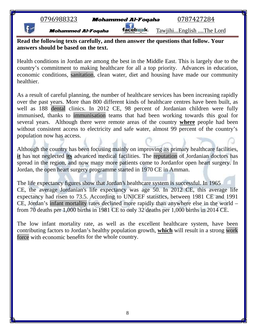|  | 0796988323 |  |  |  |  |
|--|------------|--|--|--|--|
|  |            |  |  |  |  |

**Mohammed Al-Foqaha Tacebwk** Tawjihi...English ....The Lord

**Read the following texts carefully, and then answer the questions that follow. Your answers should be based on the text.**

Health conditions in Jordan are among the best in the Middle East. This is largely due to the country's commitment to making healthcare for all a top priority. Advances in education, economic conditions, sanitation, clean water, diet and housing have made our community healthier.

As a result of careful planning, the number of healthcare services has been increasing rapidly over the past years. More than 800 different kinds of healthcare centres have been built, as well as 188 dental clinics. In 2012 CE, 98 percent of Jordanian children were fully immunised, thanks to immunisation teams that had been working towards this goal for several years. Although there were remote areas of the country **where** people had been without consistent access to electricity and safe water, almost 99 percent of the country's population now has access.

Although the country has been focusing mainly on improving its primary healthcare facilities, **it** has not neglected **its** advanced medical facilities. The reputation of Jordanian doctors has spread in the region, and now many more patients come to Jordanfor open heart surgery. In Jordan, the open heart surgery programme started in 1970 CE in Amman.

The life expectancy figures show that Jordan's healthcare system is successful. In 1965 CE, the average Jordanian's life expectancy was age 50. In 2012 CE, this average life expectancy had risen to 73.5. According to UNICEF statistics, between 1981 CE and 1991 CE, Jordan's infant mortality rates declined more rapidly than anywhere else in the world – from 70 deaths per 1,000 births in 1981 CE to only 32 deaths per 1,000 births in 2014 CE.

The low infant mortality rate, as well as the excellent healthcare system, have been contributing factors to Jordan's healthy population growth, **which** will result in a strong work force with economic benefits for the whole country.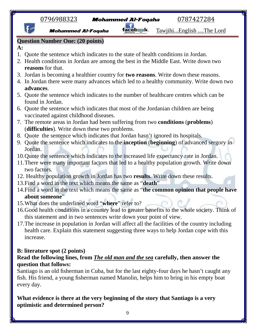|              | <u>0796988323</u>                       | <b>Mohammed Al-Foqaha</b>                                                       | 0787427284                                                                                                                                                                           |
|--------------|-----------------------------------------|---------------------------------------------------------------------------------|--------------------------------------------------------------------------------------------------------------------------------------------------------------------------------------|
|              | <b>Mohammed Al-Foqaha</b>               | acebaak.                                                                        | TawjihiEnglish The Lord                                                                                                                                                              |
|              | <b>Question Number One: (20 points)</b> |                                                                                 |                                                                                                                                                                                      |
| $A$ :        |                                         |                                                                                 |                                                                                                                                                                                      |
| 1.           |                                         |                                                                                 | Quote the sentence which indicates to the state of health conditions in Jordan.                                                                                                      |
|              |                                         |                                                                                 | 2. Health conditions in Jordan are among the best in the Middle East. Write down two                                                                                                 |
|              | reasons for that.                       |                                                                                 |                                                                                                                                                                                      |
|              |                                         |                                                                                 | 3. Jordan is becoming a healthier country for two reasons. Write down these reasons.                                                                                                 |
| advances.    |                                         |                                                                                 | 4. In Jordan there were many advances which led to a healthy community. Write down two                                                                                               |
|              |                                         |                                                                                 | 5. Quote the sentence which indicates to the number of healthcare centres which can be                                                                                               |
|              | found in Jordan.                        |                                                                                 |                                                                                                                                                                                      |
|              |                                         |                                                                                 | 6. Quote the sentence which indicates that most of the Jordanian children are being                                                                                                  |
|              | vaccinated against childhood diseases.  |                                                                                 |                                                                                                                                                                                      |
|              |                                         |                                                                                 | 7. The remote areas in Jordan had been suffering from two <b>conditions</b> ( <b>problems</b> )                                                                                      |
|              |                                         | (difficulties). Write down these two problems.                                  |                                                                                                                                                                                      |
|              |                                         | 8. Quote the sentence which indicates that Jordan hasn't ignored its hospitals. |                                                                                                                                                                                      |
| 9.           |                                         |                                                                                 | Quote the sentence which indicates to the <b>inception</b> (beginning) of advanced sergory in                                                                                        |
| Jordan.      |                                         |                                                                                 |                                                                                                                                                                                      |
|              |                                         |                                                                                 | 10. Quote the sentence which indicates to the increased life expectancy rate in Jordan.<br>11. There were many important factors that led to a healthy population growth. Write down |
| two factors. |                                         |                                                                                 |                                                                                                                                                                                      |
|              |                                         |                                                                                 | 12. Healthy population growth in Jordan has two results. Write down these results.                                                                                                   |
|              |                                         | 13. Find a word in the text which means the same as "death"                     |                                                                                                                                                                                      |
|              |                                         |                                                                                 | 14. Find a word in the text which means the same as "the common opinion that people have                                                                                             |
|              | about someone"                          | the defense of the search of the con-                                           |                                                                                                                                                                                      |
|              |                                         | 15. What does the underlined word "where" refer to?                             |                                                                                                                                                                                      |
|              |                                         |                                                                                 | 16. Good health conditions in a country lead to greater benefits to the whole society. Think of                                                                                      |
|              |                                         | this statement and in two sentences write down your point of view.              |                                                                                                                                                                                      |
|              |                                         |                                                                                 | 17. The increase in population in Jordan will affect all the facilities of the country including                                                                                     |
|              |                                         |                                                                                 | health care. Explain this statement suggesting three ways to help Jordan cope with this                                                                                              |
| increase.    |                                         |                                                                                 |                                                                                                                                                                                      |
|              | <b>B:</b> literature spot (2 points)    |                                                                                 |                                                                                                                                                                                      |
|              |                                         |                                                                                 | Read the following lines, from <i>The old man and the sea</i> carefully, then answer the                                                                                             |
|              | question that follows:                  |                                                                                 |                                                                                                                                                                                      |
|              |                                         |                                                                                 | Santiago is an old fisherman in Cuba, but for the last eighty-four days he hasn't caught any                                                                                         |
|              |                                         |                                                                                 | fish. His friend, a young fisherman named Manolin, helps him to bring in his empty boat                                                                                              |
| every day.   |                                         |                                                                                 |                                                                                                                                                                                      |

**What evidence is there at the very beginning of the story that Santiago is a very optimistic and determined person?**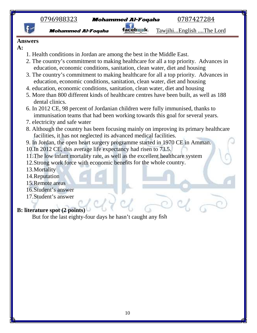



**Mohammed Al-Foqaha Tacebask** Tawjihi...English ....The Lord

#### **Answers**

- **A:**
- 1. Health conditions in Jordan are among the best in the Middle East.
- 2. The country's commitment to making healthcare for all a top priority. Advances in education, economic conditions, sanitation, clean water, diet and housing
- 3. The country's commitment to making healthcare for all a top priority. Advances in education, economic conditions, sanitation, clean water, diet and housing
- 4. education, economic conditions, sanitation, clean water, diet and housing
- 5. More than 800 different kinds of healthcare centres have been built, as well as 188 dental clinics.
- 6. In 2012 CE, 98 percent of Jordanian children were fully immunised, thanks to immunisation teams that had been working towards this goal for several years.
- 7. electricity and safe water
- 8. Although the country has been focusing mainly on improving its primary healthcare facilities, it has not neglected its advanced medical facilities.
- 9. In Jordan, the open heart surgery programme started in 1970 CE in Amman.
- 10.In 2012 CE, this average life expectancy had risen to 73.5.
- 11.The low infant mortality rate, as well as the excellent healthcare system
- 12.Strong work force with economic benefits for the whole country.
- 13.Mortality
- 14.Reputation
- 15.Remote areas
- 16.Student's answer
- 17.Student's answer

## **B: literature spot (2 points)**

But for the last eighty-four days he hasn't caught any fish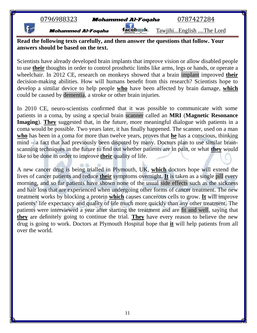| 0796988323 |  |
|------------|--|
|            |  |

Mohammed Al-Foqaha facebwak. Tawjihi...English ....The Lord

**Read the following texts carefully, and then answer the questions that follow. Your answers should be based on the text.**

Scientists have already developed brain implants that improve vision or allow disabled people to use **their** thoughts in order to control prosthetic limbs like arms, legs or hands, or operate a wheelchair. In 2012 CE, research on monkeys showed that a brain implant improved **their** decision-making abilities. How will humans benefit from this research? Scientists hope to develop a similar device to help people **who** have been affected by brain damage, **which** could be caused by dementia, a stroke or other brain injuries.

In 2010 CE, neuro-scientists confirmed that it was possible to communicate with some patients in a coma, by using a special brain scanner called an **MRI** (**Magnetic Resonance Imaging**). **They** suggested that, in the future, more meaningful dialogue with patients in a coma would be possible. Two years later, it has finally happened. The scanner, used on a man **who** has been in a coma for more than twelve years, proves that **he** has a conscious, thinking mind – a fact that had previously been disputed by many. Doctors plan to use similar brain scanning techniques in the future to find out whether patients are in pain, or what **they** would like to be done in order to improve **their** quality of life.

A new cancer drug is being trialled in Plymouth, UK, **which** doctors hope will extend the lives of cancer patients and reduce **their** symptoms overnight. **It** is taken as a single pill every morning, and so far patients have shown none of the usual side effects such as the sickness and hair loss that are experienced when undergoing other forms of cancer treatment. The new treatment works by blocking a protein **which** causes cancerous cells to grow. **It** will improve patients' life expectancy and quality of life much more quickly than any other treatment. The patients were interviewed a year after starting the treatment and are fit and well, saying that **they** are definitely going to continue the trial. **They** have every reason to believe the new drug is going to work. Doctors at Plymouth Hospital hope that **it** will help patients from all over the world.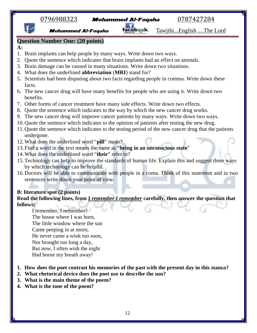|                                      | <u>0796988323</u>                                                                  | <b>Mohammed Al-Foqaha</b> | 0787427284                                                                                            |
|--------------------------------------|------------------------------------------------------------------------------------|---------------------------|-------------------------------------------------------------------------------------------------------|
|                                      | <b>Mohammed Al-Foqaha</b>                                                          |                           | TawjihiEnglish The Lord                                                                               |
|                                      | <b>Question Number One: (20 points)</b>                                            |                           |                                                                                                       |
| $A$ :                                |                                                                                    |                           |                                                                                                       |
|                                      | Brain implants can help people by many ways. Write down two ways.                  |                           |                                                                                                       |
| 2.                                   | Quote the sentence which indicates that brain implants had an effect on animals.   |                           |                                                                                                       |
| 3.                                   | Brain damage can be caused in many situations. Write down two situations.          |                           |                                                                                                       |
| 4.                                   | What does the underlined <b>abbreviation</b> (MRI) stand for?                      |                           |                                                                                                       |
|                                      |                                                                                    |                           | 5. Scientists had been disputing about two facts regarding people in comma. Write down these          |
| facts.                               |                                                                                    |                           |                                                                                                       |
| benefits.                            |                                                                                    |                           | 6. The new cancer drug will have many benefits for people who are using it. Write down two            |
|                                      | 7. Other forms of cancer treatment have many side effects. Write down two effects. |                           |                                                                                                       |
| 8.                                   | Quote the sentence which indicates to the way by which the new cancer drug works.  |                           |                                                                                                       |
| 9.                                   |                                                                                    |                           | The new cancer drug will improve cancer patients by many ways. Write down two ways.                   |
|                                      |                                                                                    |                           | 10. Quote the sentence which indicates to the opinion of patients after testing the new drug.         |
| undergone.                           |                                                                                    |                           | 11. Quote the sentence which indicates to the testing period of the new cancer drug that the patients |
|                                      | 12. What does the underlined word "pill" mean?                                     |                           |                                                                                                       |
|                                      | 13. Find a word in the text means the same as "being in an unconscious state"      |                           |                                                                                                       |
|                                      | 14. What does the underlined word "their" refer to?                                |                           |                                                                                                       |
|                                      | by which technology can be helpful.                                                |                           | 15. Technology can help to improve the standards of human life. Explain this and suggest three ways   |
|                                      | sentences write down your point of view.                                           |                           | 16. Doctors will be able to communicate with people in a coma. Think of this statement and in two     |
| <b>B:</b> literature spot (2 points) |                                                                                    |                           |                                                                                                       |
|                                      |                                                                                    |                           | Read the following lines, from <i>I remember I remember</i> carefully, then answer the question that  |
| follows:                             |                                                                                    |                           |                                                                                                       |
|                                      | I remember, I remember                                                             |                           |                                                                                                       |
|                                      | The house where I was born,                                                        |                           |                                                                                                       |
|                                      | The little window where the sun                                                    |                           |                                                                                                       |
|                                      | Came peeping in at morn;                                                           |                           |                                                                                                       |
|                                      | He never came a wink too soon,                                                     |                           |                                                                                                       |
|                                      | Nor brought too long a day,                                                        |                           |                                                                                                       |

But now, I often wish the night

Had borne my breath away!

- **1. How does the poet contrast his memories of the past with the present day in this stanza?**
- **2. What rhetorical device does the poet use to describe the sun?**
- **3. What is the main theme of the poem?**
- **4. What is the tone of the poem?**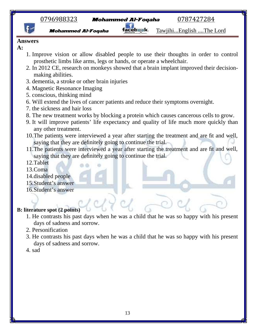

Mohammed Al-Foqaha facebsak. Tawjihi...English ....The Lord

#### **Answers**

- **A:**
- 1. Improve vision or allow disabled people to use their thoughts in order to control prosthetic limbs like arms, legs or hands, or operate a wheelchair.
- 2. In 2012 CE, research on monkeys showed that a brain implant improved their decision making abilities.
- 3. dementia, a stroke or other brain injuries
- 4. Magnetic Resonance Imaging
- 5. conscious, thinking mind
- 6. Will extend the lives of cancer patients and reduce their symptoms overnight.
- 7. the sickness and hair loss
- 8. The new treatment works by blocking a protein which causes cancerous cells to grow.
- 9. It will improve patients' life expectancy and quality of life much more quickly than any other treatment.
- 10.The patients were interviewed a year after starting the treatment and are fit and well, saying that they are definitely going to continue the trial.
- 11.The patients were interviewed a year after starting the treatment and are fit and well, saying that they are definitely going to continue the trial.
- 12.Tablet
- 13.Coma
- 14.disabled people
- 15.Student's answer
- 16.Student's answer

#### **B: literature spot (2 points)**

- 1. He contrasts his past days when he was a child that he was so happy with his present days of sadness and sorrow.
- 2. Personification
- 3. He contrasts his past days when he was a child that he was so happy with his present days of sadness and sorrow.
- 4. sad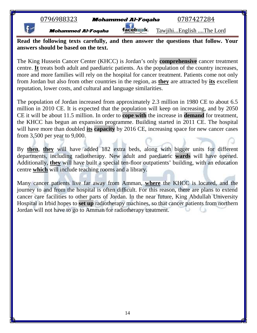|  |  |  |  | 0796988323 |  |
|--|--|--|--|------------|--|
|  |  |  |  |            |  |

**Mohammed Al-Foqaha Tacebask**. Tawjihi...English ....The Lord

**Read the following texts carefully, and then answer the questions that follow. Your answers should be based on the text.**

The King Hussein Cancer Center (KHCC) is Jordan's only **comprehensive** cancer treatment centre. **It** treats both adult and paediatric patients. As the population of the country increases, more and more families will rely on the hospital for cancer treatment. Patients come not only from Jordan but also from other countries in the region, as **they** are attracted by **its** excellent reputation, lower costs, and cultural and language similarities.

The population of Jordan increased from approximately 2.3 million in 1980 CE to about 6.5 million in 2010 CE. It is expected that the population will keep on increasing, and by 2050 CE it will be about 11.5 million. In order to **cope with** the increase in **demand** for treatment, the KHCC has begun an expansion programme. Building started in 2011 CE. The hospital will have more than doubled **its capacity** by 2016 CE, increasing space for new cancer cases from 3,500 per year to 9,000.

By **then**, **they** will have added 182 extra beds, along with bigger units for different departments, including radiotherapy. New adult and paediatric **wards** will have opened. Additionally, **they** will have built a special ten-floor outpatients' building, with an education centre **which** will include teaching rooms and a library.

Many cancer patients live far away from Amman, **where** the KHCC is located, and the journey to and from the hospital is often difficult. For this reason, there are plans to extend cancer care facilities to other parts of Jordan. In the near future, King Abdullah University Hospital in Irbid hopes to **set up** radiotherapy machines, so that cancer patients from northern Jordan will not have to go to Amman for radiotherapy treatment.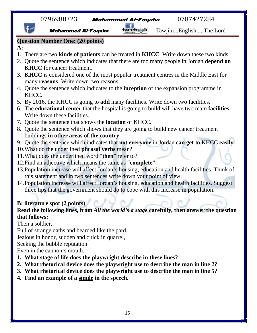|                 | <u>0796988323</u>                                                                       | <b>Mohammed Al-Foqaha</b> | 0787427284                                                                                                                                                                                  |
|-----------------|-----------------------------------------------------------------------------------------|---------------------------|---------------------------------------------------------------------------------------------------------------------------------------------------------------------------------------------|
|                 | <b>Mohammed Al-Foqaha</b>                                                               |                           | TawjihiEnglish The Lord                                                                                                                                                                     |
|                 | <b>Question Number One: (20 points)</b>                                                 |                           |                                                                                                                                                                                             |
| $\mathbf{A}$ :  |                                                                                         |                           |                                                                                                                                                                                             |
|                 |                                                                                         |                           | There are two <b>kinds of patients</b> can be treated in <b>KHCC</b> . Write down these two kinds.<br>Quote the sentence which indicates that there are too many people in Jordan depend on |
|                 | <b>KHCC</b> for cancer treatment.                                                       |                           |                                                                                                                                                                                             |
|                 |                                                                                         |                           | 3. KHCC is considered one of the most popular treatment centres in the Middle East for                                                                                                      |
|                 | many reasons. Write down two reasons.                                                   |                           |                                                                                                                                                                                             |
|                 |                                                                                         |                           | 4. Quote the sentence which indicates to the <b>inception</b> of the expansion programme in                                                                                                 |
| KHCC.           |                                                                                         |                           |                                                                                                                                                                                             |
|                 | 5. By 2016, the KHCC is going to <b>add</b> many facilities. Write down two facilities. |                           |                                                                                                                                                                                             |
|                 |                                                                                         |                           | 6. The <b>educational center</b> that the hospital is going to build will have two main <b>facilities</b> .                                                                                 |
|                 | Write down these facilities.                                                            |                           |                                                                                                                                                                                             |
|                 | 7. Quote the sentence that shows the <b>location</b> of KHCC.                           |                           |                                                                                                                                                                                             |
|                 | buildings in other areas of the country.                                                |                           | 8. Quote the sentence which shows that they are going to build new cancer treatment                                                                                                         |
|                 |                                                                                         |                           | 9. Quote the sentence which indicates that not everyone in Jordan can get to KHCC easily.                                                                                                   |
|                 | 10. What do the underlined phrasal verbs mean?                                          |                           |                                                                                                                                                                                             |
|                 | 11. What does the underlined word "then" refer to?                                      |                           |                                                                                                                                                                                             |
|                 | 12. Find an adjective which means the same as "complete"                                |                           |                                                                                                                                                                                             |
|                 |                                                                                         |                           | 13. Population increase will affect Jordan's housing, education and health facilities. Think of                                                                                             |
|                 | this statement and in two sentences write down your point of view.                      |                           |                                                                                                                                                                                             |
|                 |                                                                                         |                           | 14. Population increase will affect Jordan's housing, education and health facilities. Suggest                                                                                              |
|                 | three tips that the government should do to cope with this increase in population.      |                           |                                                                                                                                                                                             |
|                 |                                                                                         |                           |                                                                                                                                                                                             |
|                 | <b>B:</b> literature spot (2 points)                                                    |                           |                                                                                                                                                                                             |
| that follows:   |                                                                                         |                           | Read the following lines, from All the world's a stage carefully, then answer the question                                                                                                  |
| Then a soldier, |                                                                                         |                           |                                                                                                                                                                                             |
|                 | Full of strange oaths and bearded like the pard,                                        |                           |                                                                                                                                                                                             |
|                 | Jealous in honor, sudden and quick in quarrel,                                          |                           |                                                                                                                                                                                             |
|                 | Seeking the bubble reputation                                                           |                           |                                                                                                                                                                                             |
|                 | Even in the cannon's mouth.                                                             |                           |                                                                                                                                                                                             |
|                 | What stage of life does the playwright describe in these lines?                         |                           |                                                                                                                                                                                             |

- **1. What stage of life does the playwright describe in these lines?**
- **2. What rhetorical device does the playwright use to describe the man in line 2?**
- **3. What rhetorical device does the playwright use to describe the man in line 5?**
- **4. Find an example of a simile in the speech.**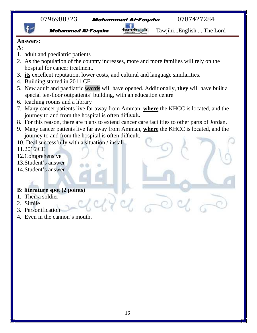





**Mohammed Al-Foqaha Tacebask**. Tawjihi...English ....The Lord

#### **Answers:**

- **A:**
- 1. adult and paediatric patients
- 2. As the population of the country increases, more and more families will rely on the hospital for cancer treatment.
- 3. **its** excellent reputation, lower costs, and cultural and language similarities.
- 4. Building started in 2011 CE.
- 5. New adult and paediatric **wards** will have opened. Additionally, **they** will have built a special ten-floor outpatients' building, with an education centre
- 6. teaching rooms and a library
- 7. Many cancer patients live far away from Amman, **where** the KHCC is located, and the journey to and from the hospital is often difficult.
- 8. For this reason, there are plans to extend cancer care facilities to other parts of Jordan.
- 9. Many cancer patients live far away from Amman, **where** the KHCC is located, and the journey to and from the hospital is often difficult.
- 10. Deal successfully with a situation / install
- 11.2016 CE
- 12.Comprehensive
- 13.Student's answer
- 14.Student's answer

#### **B: literature spot (2 points)**

- 1. Then a soldier
- 2. Simile
- 3. Personification
- 4. Even in the cannon's mouth.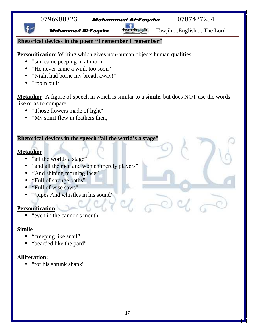**Mohammed Al-Foqaha Tacebask**. Tawjihi...English ....The Lord

#### **Rhetorical devices in the poem "I remember I remember"**

**Personification**: Writing which gives non-human objects human qualities.

- "sun came peeping in at morn;
- "He never came a wink too soon"
- "Night had borne my breath away!"
- "robin built"

**Metaphor**: A figure of speech in which is similar to a **simile**, but does NOT use the words like or as to compare.

- "Those flowers made of light"
- "My spirit flew in feathers then,"

#### **Rhetorical devices in the speech "all the world's a stage"**

#### **Metaphor**

- "all the worlds a stage"
- "and all the men and women merely players"
- "And shining morning face"
- "Full of strange oaths"
- "Full of wise saws"
- "pipes And whistles in his sound"

## **Personification**

• "even in the cannon's mouth"

## **Simile**

- "creeping like snail"
- "bearded like the pard"

## **Alliteration:**

"for his shrunk shank"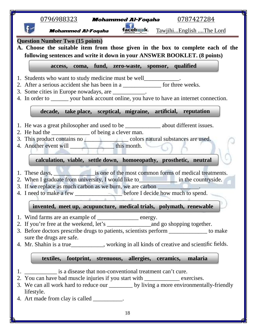| <u>0796988323</u><br><u>0787427284</u><br><b>Mohammed Al-Foqaha</b>                                                                                                                                                                                                                                                                                                                                                |  |
|--------------------------------------------------------------------------------------------------------------------------------------------------------------------------------------------------------------------------------------------------------------------------------------------------------------------------------------------------------------------------------------------------------------------|--|
| facebask.<br><b>Mohammed Al-Foqaha</b><br>TawjihiEnglish The Lord                                                                                                                                                                                                                                                                                                                                                  |  |
| <b>Question Number Two (15 points)</b><br>A. Choose the suitable item from those given in the box to complete each of the<br>following sentences and write it down in your ANSWER BOOKLET. (8 points)                                                                                                                                                                                                              |  |
| access, coma, fund, zero-waste, sponsor, qualified                                                                                                                                                                                                                                                                                                                                                                 |  |
| 1. Students who want to study medicine must be well____________.<br>2. After a serious accident she has been in a _______________ for three weeks.<br>3. Some cities in Europe nowadays, are ___________.<br>4. In order to _______ your bank account online, you have to have an internet connection.                                                                                                             |  |
| decade, take place, sceptical, migraine, artificial, reputation                                                                                                                                                                                                                                                                                                                                                    |  |
| 1. He was a great philosopher and used to be _____________ about different issues.<br>3. This product contains no<br>4. Another event will<br>4. Another event will<br>4. Another event will<br>4. Another event will<br>4. Another event will<br>4. Another event will<br>4. Another event will<br>4. Another example of the state of the s<br>calculation, viable, settle down, homoeopathy, prosthetic, neutral |  |
| 2. When I graduate from university, I would like to in the countryside.<br>3. If we replace as much carbon as we burn, we are carbon ________________.<br>4. I need to make a few _____________________before I decide how much to spend.                                                                                                                                                                          |  |
| invented, meet up, acupuncture, medical trials, polymath, renewable                                                                                                                                                                                                                                                                                                                                                |  |
| 1. Wind farms are an example of ______________ energy.<br>3. Before doctors prescribe drugs to patients, scientists perform _____________ to make<br>sure the drugs are safe.<br>4. Mr. Shahin is a true___________, working in all kinds of creative and scientific fields.                                                                                                                                       |  |
| textiles, footprint, strenuous, allergies, ceramics, malaria                                                                                                                                                                                                                                                                                                                                                       |  |
| is a disease that non-conventional treatment can't cure.<br>2. You can have bad muscle injuries if you start with ____________ exercises.<br>3. We can all work hard to reduce our _______ by living a more environmentally-friendly<br>lifestyle.<br>4. Art made from clay is called __________.                                                                                                                  |  |
| 18                                                                                                                                                                                                                                                                                                                                                                                                                 |  |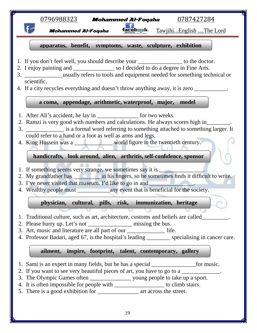| $\underline{0796988323}$ Mohammed Al-Foqaha<br>0787427284                                                                                                                                                                                                                                                                                                                                                                                                                    |
|------------------------------------------------------------------------------------------------------------------------------------------------------------------------------------------------------------------------------------------------------------------------------------------------------------------------------------------------------------------------------------------------------------------------------------------------------------------------------|
|                                                                                                                                                                                                                                                                                                                                                                                                                                                                              |
| facebask.<br>TawjihiEnglish The Lord<br><b>Mohammed Al-Foqaha</b>                                                                                                                                                                                                                                                                                                                                                                                                            |
|                                                                                                                                                                                                                                                                                                                                                                                                                                                                              |
| apparatus, benefit, symptoms, waste, sculpture, exhibition                                                                                                                                                                                                                                                                                                                                                                                                                   |
| 1. If you don't feel well, you should describe your ________________ to the doctor.<br>2. I enjoy painting and __________________ so I decided to do a degree in Fine Arts.<br>3. ____________________usually refers to tools and equipment needed for something technical or<br>scientific.<br>4. If a city recycles everything and doesn't throw anything away, it is zero __________.                                                                                     |
| a coma, appendage, arithmetic, waterproof, major, model                                                                                                                                                                                                                                                                                                                                                                                                                      |
| 1. After Ali's accident, he lay in ___________________ for two weeks.<br>2. Ramzi is very good with numbers and calculations. He always scores high in<br>3. _______________ is a formal word referring to something attached to something larger. It<br>could refer to a hand or a foot as well as arms and legs.<br>4. King Hussein was a _________________ world figure in the twentieth century.<br>handicrafts, look around, alien, arthritis, self-confidence, sponsor |
|                                                                                                                                                                                                                                                                                                                                                                                                                                                                              |
| 1. If something seems very strange, we sometimes say it is ______________.                                                                                                                                                                                                                                                                                                                                                                                                   |
| 2. My grandfather has ____________ in his fingers, so he sometimes finds it difficult to write.                                                                                                                                                                                                                                                                                                                                                                              |
|                                                                                                                                                                                                                                                                                                                                                                                                                                                                              |
| 3. I've never visited that museum. I'd like to go in and __________________.                                                                                                                                                                                                                                                                                                                                                                                                 |
| physician, cultural, pills, risk, immunization, heritage                                                                                                                                                                                                                                                                                                                                                                                                                     |
| 1. Traditional culture, such as art, architecture, customs and beliefs are called____<br>2. Please hurry up. Let's not ____________________ missing the bus.<br>3. Art, music and literature are all part of our ________________ life.<br>4. Professor Badari, aged 67, is the hospital's leading _________ specialising in cancer care.                                                                                                                                    |
| ailment, inspire, footprint, talent, contemporary, gallery                                                                                                                                                                                                                                                                                                                                                                                                                   |

П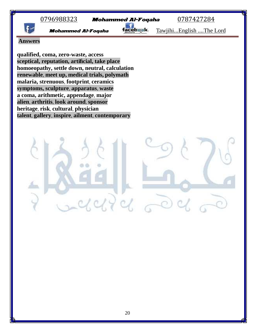

**Answers**

**qualified, coma, zero-waste, access sceptical, reputation, artificial, take place homoeopathy, settle down, neutral, calculation renewable**, **meet up, medical trials, polymath malaria, strenuous**, **footprint**, **ceramics symptoms, sculpture**, **apparatus**, **waste a coma, arithmetic, appendage**, **major alien**, **arthritis**, **look around**, **sponsor heritage**, **risk**, **cultural**, **physician talent**, **gallery**, **inspire**, **ailment**, **contemporary**

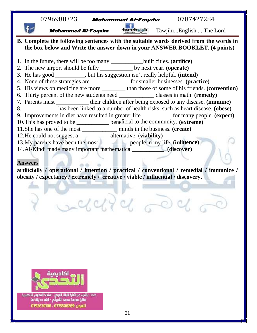| $\underline{0796988323}$ Mohammed Al-Foqaha                                                 | <u>0787427284</u>       |
|---------------------------------------------------------------------------------------------|-------------------------|
| faceb sk.<br><b>Mohammed Al-Foqaha</b>                                                      | TawjihiEnglish The Lord |
| B. Complete the following sentences with the suitable words derived from the words in       |                         |
| the box below and Write the answer down in your ANSWER BOOKLET. (4 points)                  |                         |
| 1. In the future, there will be too many ________________built cities. (artifice)           |                         |
| 2. The new airport should be fully _________ by next year. (operate)                        |                         |
| 3. He has good ________, but his suggestion isn't really helpful. (intend)                  |                         |
| 4. None of these strategies are _____________ for smaller businesses. (practice)            |                         |
| 5. His views on medicine are more _________ than those of some of his friends. (convention) |                         |
|                                                                                             |                         |
| 7. Parents must ____________ their children after being exposed to any disease. (immune)    |                         |
| 8. ____________ has been linked to a number of health risks, such as heart disease. (obese) |                         |
| 9. Improvements in diet have resulted in greater life _________ for many people. (expect)   |                         |
| 10. This has proved to be _________ beneficial to the community. (extreme)                  |                         |
| 11. She has one of the most ____________ minds in the business. (create)                    |                         |
| 12. He could not suggest a ____________ alternative. (viability)                            |                         |
| 13. My parents have been the most <u>entitled</u> people in my life. ( <b>influence</b> )   |                         |
| 14.Al-Kindi made many important mathematical______________. (discover)                      |                         |
|                                                                                             |                         |
| <b>Answers</b>                                                                              |                         |
| artificially / operational / intention / practical / conventional / remedial / immunize /   |                         |
| obesity / expectancy / extremely / creative / viable / influential / discovery.             |                         |
|                                                                                             |                         |
|                                                                                             |                         |
|                                                                                             |                         |
| 2 Saved 2020                                                                                |                         |
|                                                                                             |                         |
|                                                                                             |                         |
|                                                                                             |                         |
|                                                                                             |                         |
|                                                                                             |                         |



خلدا - بالقرب من أشارة البنك العربي - اعتداد المدارس التنظيرية<br>مقابل مدرسة محمد الشريقي - امام حديقة زها تلفون:0775506269 - 0792670106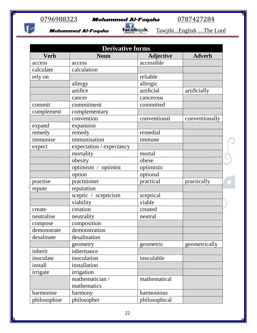$f$ 



Mohammed Al-Foqaha facebsek. Tawjihi...English ....The Lord

| <b>Derivative forms</b> |                          |                  |                |  |
|-------------------------|--------------------------|------------------|----------------|--|
| <b>Verb</b>             | <b>Noun</b>              | <b>Adjective</b> | <b>Adverb</b>  |  |
| access                  | access                   | accessible       |                |  |
| calculate               | calculation              |                  |                |  |
| rely on                 |                          | reliable         |                |  |
|                         | allergy                  | allergic         |                |  |
|                         | artifice                 | artificial       | artificially   |  |
|                         | cancer                   | cancerous        |                |  |
| commit                  | commitment               | committed        |                |  |
| complement              | complementary            |                  |                |  |
|                         | convention               | conventional     | conventionally |  |
| expand                  | expansion                |                  |                |  |
| remedy                  | remedy                   | remedial         |                |  |
| immunise                | immunisation             | immune           |                |  |
| expect                  | expectation / expectancy |                  |                |  |
|                         | mortality                | mortal           |                |  |
|                         | obesity                  | obese            |                |  |
|                         | optimism / optimist      | optimistic       |                |  |
|                         | option                   | optional         |                |  |
| practise                | practitioner             | practical        | practically    |  |
| repute                  | reputation               |                  |                |  |
|                         | sceptic / scepticism     | sceptical        |                |  |
|                         | viability                | viable           |                |  |
| create                  | creation                 | created          |                |  |
| neutralise              | neutrality               | neutral          |                |  |
| compose                 | composition              |                  |                |  |
| demonstrate             | demonstration            |                  |                |  |
| desalinate              | desalination             |                  |                |  |
|                         | geometry                 | geometric        | geometrically  |  |
| inherit                 | inheritance              |                  |                |  |
| inoculate               | inoculation              | inoculable       |                |  |
| install                 | installation             |                  |                |  |
| irrigate                | irrigation               |                  |                |  |
|                         | mathematician /          | mathematical     |                |  |
|                         | mathematics              |                  |                |  |
| harmonise               | harmony                  | harmonious       |                |  |
| philosophise            | philosopher              | philosophical    |                |  |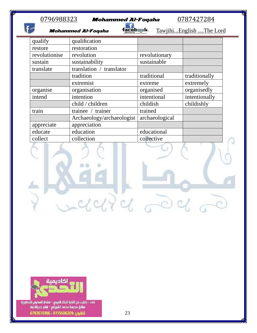| qualify       | qualification             |                |               |
|---------------|---------------------------|----------------|---------------|
| restore       | restoration               |                |               |
| revolutionise | revolution                | revolutionary  |               |
| sustain       | sustainability            | sustainable    |               |
| translate     | translation / translator  |                |               |
|               | tradition                 | traditional    | traditionally |
|               | extremist                 | extreme        | extremely     |
| organise      | organisation              | organised      | organisedly   |
| intend        | intention                 | intentional    | intentionally |
|               | child / children          | childish       | childishly    |
| train         | trainee / trainer         | trained        |               |
|               | Archaeology/archaeologist | archaeological |               |
| appreciate    | appreciation              |                |               |
| educate       | education                 | educational    |               |
| collect       | collection                | collective     |               |
|               |                           |                |               |



خلدا - بالقرب من أشارة البنك العربي - امتداد المدارس التنظيرية<br>مقابل مدرسة محمد الشريقي - امام حديقة زها تلفون :0775506269 - 0792670106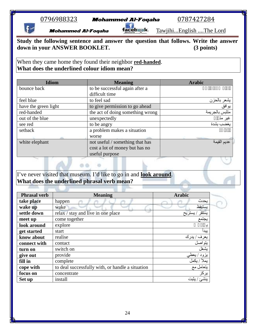|  |  |  |  | )796988323 |  |
|--|--|--|--|------------|--|
|  |  |  |  |            |  |

0796988323 **Mohammed Al-Foqaha** 0787427284<br>**Mohammed Al-Foqaha facebask** Tawjihi...English ....The I

**Mohammed Al-Foqaha Tacebask**. Tawjihi...English ....The Lord

**Study the following sentence and answer the question that follows. Write the answer down in your ANSWER BOOKLET. (3 points)**

When they came home they found their neighbor **red-handed**. **What does the underlined colour idiom mean?**

| <b>Idiom</b>         | <b>Meaning</b>                   | <b>Arabic</b>  |
|----------------------|----------------------------------|----------------|
| bounce back          | to be successful again after a   |                |
|                      | difficult time                   |                |
| feel blue            | to feel sad                      | يشعر بالحزن    |
| have the green light | to give permission to go ahead   | يوافق          |
| red-handed           | the act of doing something wrong | متلبس بالجريمة |
| out of the blue      | unexpectedly                     | غير مڌ         |
| see red              | to be angry                      | يغضب بشدة      |
| setback              | a problem makes a situation      |                |
|                      | worse                            |                |
| white elephant       | not useful / something that has  | عديم القيمة    |
|                      | cost a lot of money but has no   |                |
|                      | useful purpose                   |                |

I've never visited that museum. I'd like to go in and **look around**. **What does the underlined phrasal verb mean?**

a a

| <b>Phrasal verb</b> | <b>Meaning</b>                                   | <b>Arabic</b>             |
|---------------------|--------------------------------------------------|---------------------------|
| take place          | happen                                           | يحدث                      |
| wake up             | wake                                             | يستيقظ                    |
| settle down         | relax / stay and live in one place               | يستقر<br><u>، ي</u> ستريح |
| meet up             | come together                                    | يجتمع                     |
| look around         | explore                                          |                           |
| get started         | start                                            | يبدا                      |
| know about          | realise                                          | يعرف / يدرك               |
| connect with        | contact                                          | يتواصل                    |
| turn on             | switch on                                        | بشغل                      |
| give out            | provide                                          | يزود / يعطي               |
| fill in             | complete                                         | يملأ / يكمل               |
| cope with           | to deal successfully with, or handle a situation | يتعامل مع                 |
| focus on            | concentrate                                      | يركز                      |
| Set up              | install                                          | ينشئ / يثبت               |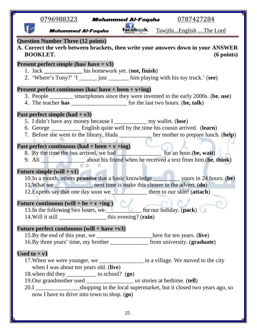|                | <u>0796988323</u>                                                                                        | 0787427284<br><b>Mohammed Al-Foqaha</b>                                                                                                                                                                                                            |  |
|----------------|----------------------------------------------------------------------------------------------------------|----------------------------------------------------------------------------------------------------------------------------------------------------------------------------------------------------------------------------------------------------|--|
|                | <b>Mohammed Al-Foqaha</b>                                                                                | facebask.<br>TawjihiEnglish The Lord                                                                                                                                                                                                               |  |
|                | <b>Question Number Three (12 points)</b><br><b>BOOKLET.</b>                                              | A. Correct the verb between brackets, then write your answers down in your ANSWER<br>$(6$ points)                                                                                                                                                  |  |
|                | <b>Present perfect simple (has/ have + v3)</b><br>1. Jack ______________ his homework yet. (not, finish) | 2. 'Where's Tony?' 'I _______ just ________ him playing with his toy truck.' (see)                                                                                                                                                                 |  |
|                | <b>Present perfect continuous (has/ have + been + v+ing)</b>                                             |                                                                                                                                                                                                                                                    |  |
|                |                                                                                                          | 3. People _________ smartphones since they were invented in the early 2000s. (be, use)<br>4. The teacher has __________________________ for the last two hours. (be, talk)                                                                         |  |
|                | Past perfect simple $(had + v3)$                                                                         | 5. I didn't have any money because I _______________ my wallet. (lose)<br>6. George __________ English quite well by the time his cousin arrived. (learn)<br>7. Before she went to the library, Huda _________ her mother to prepare lunch. (help) |  |
|                | Past perfect continuous $(had + been + v + ing)$                                                         | 8. By the time the bus arrived, we had ____________________ for an hour.(be, wait)<br>9. Ali <b>No. 2016</b> about his friend when he received a text from him.(be, think)                                                                         |  |
|                | Future simple $(will + v1)$                                                                              |                                                                                                                                                                                                                                                    |  |
|                |                                                                                                          | 12. Experts say that one day soon we help them to our skin! (attach)                                                                                                                                                                               |  |
|                | Future continuous (will + be + $v$ +ing)<br>13. In the following two hours, we                           | for our holiday. (pack)                                                                                                                                                                                                                            |  |
|                | Future perfect continuous (will + have +v3)                                                              |                                                                                                                                                                                                                                                    |  |
|                |                                                                                                          | 15.By the end of this year, we ____________________here for ten years. (live)                                                                                                                                                                      |  |
|                |                                                                                                          | 16.By three years' time, my brother ________________ from university. (graduate)                                                                                                                                                                   |  |
| Used to $+ v1$ |                                                                                                          |                                                                                                                                                                                                                                                    |  |
|                | when I was about ten years old. (live)<br>18. when did they ___________ to school? (go)                  | 17. When we were younger, we _________________ in a village. We moved to the city                                                                                                                                                                  |  |
|                |                                                                                                          | 20.I _____________________shopping in the local supermarket, but it closed two years ago, so                                                                                                                                                       |  |
|                | now I have to drive into town to shop. (go)                                                              |                                                                                                                                                                                                                                                    |  |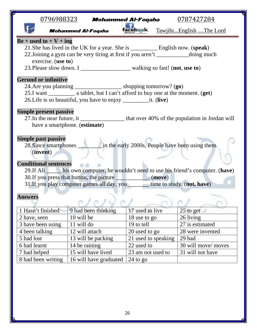|                                                                                                                                                                                                                                                                                                                           | $\underline{0796988323}$ Mohammed Al-Foqaha |                     | 0787427284              |  |  |  |  |
|---------------------------------------------------------------------------------------------------------------------------------------------------------------------------------------------------------------------------------------------------------------------------------------------------------------------------|---------------------------------------------|---------------------|-------------------------|--|--|--|--|
|                                                                                                                                                                                                                                                                                                                           | <b>Mohammed Al-Foqaha</b>                   | t <u>ace</u> b sk.  | TawjihiEnglish The Lord |  |  |  |  |
| $Be + used to + V + ing$<br>21. She has lived in the UK for a year. She is _____________ English now. (speak)<br>22. Joining a gym can be very tiring at first if you aren't _____________________ doing much<br>exercise. $(use to)$<br>23. Please slow down. I _________________________ walking so fast! (not, use to) |                                             |                     |                         |  |  |  |  |
| <b>Gerund or infinitive</b><br>24. Are you planning ____________________ shopping tomorrow? (go)                                                                                                                                                                                                                          |                                             |                     |                         |  |  |  |  |
| <b>Simple present passive</b><br>have a smartphone. (estimate)                                                                                                                                                                                                                                                            |                                             |                     |                         |  |  |  |  |
| <b>Simple past passive</b><br>28. Since smartphones _________ in the early 2000s, People have been using them.<br>(invent)                                                                                                                                                                                                |                                             |                     |                         |  |  |  |  |
| <b>Conditional sentences</b><br>29. If Ali _____ his own computer, he wouldn't need to use his friend's computer. (have)<br>30. If you press that button, the picture _____________. (move)<br>31. If you play computer games all day, you ________ time to study. (not, have)                                            |                                             |                     |                         |  |  |  |  |
| <b>Answers</b><br>the American Arts                                                                                                                                                                                                                                                                                       |                                             |                     |                         |  |  |  |  |
| 1 Hasn't finished                                                                                                                                                                                                                                                                                                         | 9 had been thinking                         | 17 used to live     | $25$ to get             |  |  |  |  |
| 2 have, seen                                                                                                                                                                                                                                                                                                              | 10 will be                                  | 18 use to go        | 26 living               |  |  |  |  |
| 3 have been using                                                                                                                                                                                                                                                                                                         | 11 will do                                  | 19 to tell          | 27 is estimated         |  |  |  |  |
| 4 been talking                                                                                                                                                                                                                                                                                                            | 12 will attach                              | 20 used to go       | 28 were invented        |  |  |  |  |
| 5 had lost                                                                                                                                                                                                                                                                                                                | 13 will be packing                          | 21 used to speaking | 29 had                  |  |  |  |  |
| 6 had learnt                                                                                                                                                                                                                                                                                                              | 14 be raining                               | 22 used to          | 30 will move/ moves     |  |  |  |  |
| 7 had helped                                                                                                                                                                                                                                                                                                              | 15 will have lived                          | 23 am not used to   | 31 will not have        |  |  |  |  |
| 8 had been writing                                                                                                                                                                                                                                                                                                        | 16 will have graduated                      | $24$ to go          |                         |  |  |  |  |
|                                                                                                                                                                                                                                                                                                                           |                                             |                     |                         |  |  |  |  |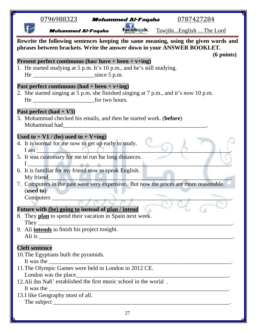| facebask.<br>TawjihiEnglish The Lord<br><b>Mohammed Al-Foqaha</b><br>Rewrite the following sentences keeping the same meaning, using the given words and<br>phrases between brackets. Write the answer down in your ANSWER BOOKLET.<br>$(6 \text{ points})$<br><b>Present perfect continuous (has/ have + been + v+ing)</b><br>1. He started studying at 5 p.m. It's 10 p.m., and he's still studying.<br>Past perfect continuous $(had + been + v + ing)$<br>2. She started singing at 5 p.m. she finished singing at 7 p.m., and it's now 10 p.m.<br>Past perfect $(had + V3)$<br>3. Mohammad checked his emails, and then he started work. (before)<br>Used to $+$ V1 / (be) used to $+$ V+ing)<br>4. It is normal for me now to get up early to study.<br>$I$ am $\Box$<br>5. It was customary for me to run for long distances.<br>6. It is familiar for my friend now to speak English.<br>My friend<br>7. Computers in the past were very expensive. But now the prices are more reasonable.<br>(used to)<br>Future with (be) going to instead of plan / intend<br>8. They plan to spend their vacation in Spain next week.<br>9. Ali <i>intends</i> to finish his project tonight.<br><b>Cleft sentence</b><br>10. The Egyptians built the pyramids.<br>It was the 11. The Olympic Games were held in London in 2012 CE.<br>London was the place_<br>It was the <u>example and the set of the set of the set of the set of the set of the set of the set of the set of the set of the set of the set of the set of the set of the set of the set of the set of the set of the set of </u><br>13.I like Geography most of all.<br>27 | <u>0796988323</u> | <b>Mohammed Al-Foqaha</b> | 0787427284 |  |
|---------------------------------------------------------------------------------------------------------------------------------------------------------------------------------------------------------------------------------------------------------------------------------------------------------------------------------------------------------------------------------------------------------------------------------------------------------------------------------------------------------------------------------------------------------------------------------------------------------------------------------------------------------------------------------------------------------------------------------------------------------------------------------------------------------------------------------------------------------------------------------------------------------------------------------------------------------------------------------------------------------------------------------------------------------------------------------------------------------------------------------------------------------------------------------------------------------------------------------------------------------------------------------------------------------------------------------------------------------------------------------------------------------------------------------------------------------------------------------------------------------------------------------------------------------------------------------------------------------------------------------------------|-------------------|---------------------------|------------|--|
|                                                                                                                                                                                                                                                                                                                                                                                                                                                                                                                                                                                                                                                                                                                                                                                                                                                                                                                                                                                                                                                                                                                                                                                                                                                                                                                                                                                                                                                                                                                                                                                                                                             |                   |                           |            |  |
|                                                                                                                                                                                                                                                                                                                                                                                                                                                                                                                                                                                                                                                                                                                                                                                                                                                                                                                                                                                                                                                                                                                                                                                                                                                                                                                                                                                                                                                                                                                                                                                                                                             |                   |                           |            |  |
|                                                                                                                                                                                                                                                                                                                                                                                                                                                                                                                                                                                                                                                                                                                                                                                                                                                                                                                                                                                                                                                                                                                                                                                                                                                                                                                                                                                                                                                                                                                                                                                                                                             |                   |                           |            |  |
|                                                                                                                                                                                                                                                                                                                                                                                                                                                                                                                                                                                                                                                                                                                                                                                                                                                                                                                                                                                                                                                                                                                                                                                                                                                                                                                                                                                                                                                                                                                                                                                                                                             |                   |                           |            |  |
|                                                                                                                                                                                                                                                                                                                                                                                                                                                                                                                                                                                                                                                                                                                                                                                                                                                                                                                                                                                                                                                                                                                                                                                                                                                                                                                                                                                                                                                                                                                                                                                                                                             |                   |                           |            |  |
|                                                                                                                                                                                                                                                                                                                                                                                                                                                                                                                                                                                                                                                                                                                                                                                                                                                                                                                                                                                                                                                                                                                                                                                                                                                                                                                                                                                                                                                                                                                                                                                                                                             |                   |                           |            |  |
|                                                                                                                                                                                                                                                                                                                                                                                                                                                                                                                                                                                                                                                                                                                                                                                                                                                                                                                                                                                                                                                                                                                                                                                                                                                                                                                                                                                                                                                                                                                                                                                                                                             |                   |                           |            |  |
|                                                                                                                                                                                                                                                                                                                                                                                                                                                                                                                                                                                                                                                                                                                                                                                                                                                                                                                                                                                                                                                                                                                                                                                                                                                                                                                                                                                                                                                                                                                                                                                                                                             |                   |                           |            |  |
|                                                                                                                                                                                                                                                                                                                                                                                                                                                                                                                                                                                                                                                                                                                                                                                                                                                                                                                                                                                                                                                                                                                                                                                                                                                                                                                                                                                                                                                                                                                                                                                                                                             |                   |                           |            |  |
|                                                                                                                                                                                                                                                                                                                                                                                                                                                                                                                                                                                                                                                                                                                                                                                                                                                                                                                                                                                                                                                                                                                                                                                                                                                                                                                                                                                                                                                                                                                                                                                                                                             |                   |                           |            |  |
|                                                                                                                                                                                                                                                                                                                                                                                                                                                                                                                                                                                                                                                                                                                                                                                                                                                                                                                                                                                                                                                                                                                                                                                                                                                                                                                                                                                                                                                                                                                                                                                                                                             |                   |                           |            |  |
|                                                                                                                                                                                                                                                                                                                                                                                                                                                                                                                                                                                                                                                                                                                                                                                                                                                                                                                                                                                                                                                                                                                                                                                                                                                                                                                                                                                                                                                                                                                                                                                                                                             |                   |                           |            |  |
|                                                                                                                                                                                                                                                                                                                                                                                                                                                                                                                                                                                                                                                                                                                                                                                                                                                                                                                                                                                                                                                                                                                                                                                                                                                                                                                                                                                                                                                                                                                                                                                                                                             |                   |                           |            |  |
|                                                                                                                                                                                                                                                                                                                                                                                                                                                                                                                                                                                                                                                                                                                                                                                                                                                                                                                                                                                                                                                                                                                                                                                                                                                                                                                                                                                                                                                                                                                                                                                                                                             |                   |                           |            |  |
|                                                                                                                                                                                                                                                                                                                                                                                                                                                                                                                                                                                                                                                                                                                                                                                                                                                                                                                                                                                                                                                                                                                                                                                                                                                                                                                                                                                                                                                                                                                                                                                                                                             |                   |                           |            |  |
|                                                                                                                                                                                                                                                                                                                                                                                                                                                                                                                                                                                                                                                                                                                                                                                                                                                                                                                                                                                                                                                                                                                                                                                                                                                                                                                                                                                                                                                                                                                                                                                                                                             |                   |                           |            |  |
|                                                                                                                                                                                                                                                                                                                                                                                                                                                                                                                                                                                                                                                                                                                                                                                                                                                                                                                                                                                                                                                                                                                                                                                                                                                                                                                                                                                                                                                                                                                                                                                                                                             |                   |                           |            |  |
|                                                                                                                                                                                                                                                                                                                                                                                                                                                                                                                                                                                                                                                                                                                                                                                                                                                                                                                                                                                                                                                                                                                                                                                                                                                                                                                                                                                                                                                                                                                                                                                                                                             |                   |                           |            |  |
|                                                                                                                                                                                                                                                                                                                                                                                                                                                                                                                                                                                                                                                                                                                                                                                                                                                                                                                                                                                                                                                                                                                                                                                                                                                                                                                                                                                                                                                                                                                                                                                                                                             |                   |                           |            |  |
|                                                                                                                                                                                                                                                                                                                                                                                                                                                                                                                                                                                                                                                                                                                                                                                                                                                                                                                                                                                                                                                                                                                                                                                                                                                                                                                                                                                                                                                                                                                                                                                                                                             |                   |                           |            |  |
|                                                                                                                                                                                                                                                                                                                                                                                                                                                                                                                                                                                                                                                                                                                                                                                                                                                                                                                                                                                                                                                                                                                                                                                                                                                                                                                                                                                                                                                                                                                                                                                                                                             |                   |                           |            |  |
|                                                                                                                                                                                                                                                                                                                                                                                                                                                                                                                                                                                                                                                                                                                                                                                                                                                                                                                                                                                                                                                                                                                                                                                                                                                                                                                                                                                                                                                                                                                                                                                                                                             |                   |                           |            |  |
|                                                                                                                                                                                                                                                                                                                                                                                                                                                                                                                                                                                                                                                                                                                                                                                                                                                                                                                                                                                                                                                                                                                                                                                                                                                                                                                                                                                                                                                                                                                                                                                                                                             |                   |                           |            |  |
|                                                                                                                                                                                                                                                                                                                                                                                                                                                                                                                                                                                                                                                                                                                                                                                                                                                                                                                                                                                                                                                                                                                                                                                                                                                                                                                                                                                                                                                                                                                                                                                                                                             |                   |                           |            |  |
|                                                                                                                                                                                                                                                                                                                                                                                                                                                                                                                                                                                                                                                                                                                                                                                                                                                                                                                                                                                                                                                                                                                                                                                                                                                                                                                                                                                                                                                                                                                                                                                                                                             |                   |                           |            |  |
|                                                                                                                                                                                                                                                                                                                                                                                                                                                                                                                                                                                                                                                                                                                                                                                                                                                                                                                                                                                                                                                                                                                                                                                                                                                                                                                                                                                                                                                                                                                                                                                                                                             |                   |                           |            |  |
|                                                                                                                                                                                                                                                                                                                                                                                                                                                                                                                                                                                                                                                                                                                                                                                                                                                                                                                                                                                                                                                                                                                                                                                                                                                                                                                                                                                                                                                                                                                                                                                                                                             |                   |                           |            |  |
|                                                                                                                                                                                                                                                                                                                                                                                                                                                                                                                                                                                                                                                                                                                                                                                                                                                                                                                                                                                                                                                                                                                                                                                                                                                                                                                                                                                                                                                                                                                                                                                                                                             |                   |                           |            |  |
|                                                                                                                                                                                                                                                                                                                                                                                                                                                                                                                                                                                                                                                                                                                                                                                                                                                                                                                                                                                                                                                                                                                                                                                                                                                                                                                                                                                                                                                                                                                                                                                                                                             |                   |                           |            |  |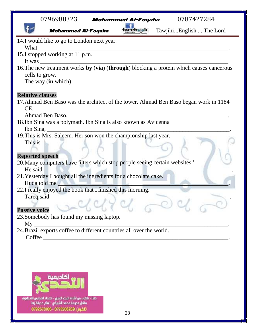| <u>0796988323</u><br>0787427284<br><b>Mohammed Al-Foqaha</b>                                                                  |
|-------------------------------------------------------------------------------------------------------------------------------|
| f <u>ace</u> baak.<br>TawjihiEnglish The Lord<br><b>Mohammed Al-Foqaha</b>                                                    |
| 14.I would like to go to London next year.                                                                                    |
| What<br><u> 1989 - Andrea Branden, amerikan besteman besteman besteman besteman besteman besteman besteman besteman beste</u> |
| 15.I stopped working at 11 p.m.                                                                                               |
| 16. The new treatment works by (via) (through) blocking a protein which causes cancerous                                      |
| cells to grow.                                                                                                                |
|                                                                                                                               |
| <b>Relative clauses</b><br>17. Ahmad Ben Baso was the architect of the tower. Ahmad Ben Baso began work in 1184<br>CE.        |
| <u> 2002 - Jan James James James James James James James James James James James James James James James James J</u>          |
| 18.Ibn Sina was a polymath. Ibn Sina is also known as Avicenna                                                                |
| Ibn Sina, $\qquad \qquad$                                                                                                     |
| 19. This is Mrs. Saleem. Her son won the championship last year.                                                              |
|                                                                                                                               |
|                                                                                                                               |
| <b>Reported speech</b>                                                                                                        |
| 20. Many computers have filters which stop people seeing certain websites.'<br>He said                                        |
| 21. Yesterday I bought all the ingredients for a chocolate cake.                                                              |
| Huda told me                                                                                                                  |
| 22.I really enjoyed the book that I finished this morning.                                                                    |
| Tareq said _                                                                                                                  |
| <b>Passive voice</b>                                                                                                          |
| 23. Somebody has found my missing laptop.                                                                                     |
| Mv                                                                                                                            |
| 24. Brazil exports coffee to different countries all over the world.                                                          |
|                                                                                                                               |
|                                                                                                                               |
|                                                                                                                               |
|                                                                                                                               |
|                                                                                                                               |

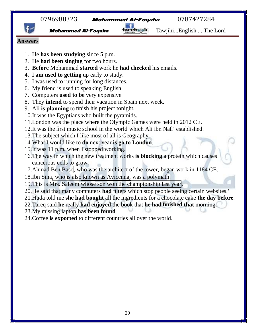

**Mohammed Al-Foqaha Tacebask** Tawjihi...English ....The Lord

#### **Answers**

- 1. He **has been studying** since 5 p.m.
- 2. He **had been singing** for two hours.
- 3. **Before** Mohammad **started** work he **had checked** his emails.
- 4. I **am used to getting** up early to study.
- 5. I was used to running for long distances.
- 6. My friend is used to speaking English.
- 7. Computers **used to be** very expensive
- 8. They **intend** to spend their vacation in Spain next week.
- 9. Ali **is planning** to finish his project tonight.
- 10.It was the Egyptians who built the pyramids.
- 11.London was the place where the Olympic Games were held in 2012 CE.
- 12.It was the first music school in the world which Ali ibn Nafi' established.
- 13.The subject which I like most of all is Geography.
- 14.What I would like to **do** next year **is go to London**.
- 15.It was 11 p.m. when I stopped working.
- 16.The way in which the new treatment works **is blocking** a protein which causes cancerous cells to grow.
- 17.Ahmad Ben Baso, who was the architect of the tower, began work in 1184 CE.
- 18.Ibn Sina, who is also known as Avicenna, was a polymath.
- 19. This is Mrs. Saleem whose son won the championship last year.
- 20.He said that many computers **had** filters which stop people seeing certain websites.'
- 21.Huda told me **she had bought** all the ingredients for a chocolate cake **the day before**.
- 22.Tareq said **he** really **had enjoyed** the book that **he had finished that** morning.
- 23.My missing laptop **has been found**
- 24.Coffee **is exported** to different countries all over the world.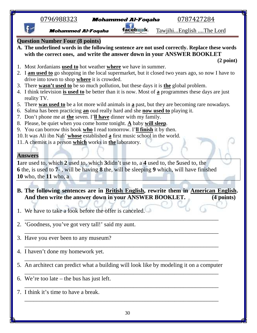| <u>0796988323</u><br>0787427284<br><b>Mohammed Al-Foqaha</b>                                                                                                |  |
|-------------------------------------------------------------------------------------------------------------------------------------------------------------|--|
| TawjihiEnglish The Lord<br><b>Mohammed Al-Foqaha</b>                                                                                                        |  |
| <b>Question Number Four (8 points)</b><br>A. The underlined words in the following sentence are not used correctly. Replace these words                     |  |
| with the correct ones, and write the answer down in your ANSWER BOOKLET<br>(2 point)                                                                        |  |
| 1. Most Jordanians used to hot weather where we have in summer.                                                                                             |  |
| 2. I am used to go shopping in the local supermarket, but it closed two years ago, so now I have to                                                         |  |
| drive into town to shop where it is crowded.<br>3. There wasn't used to be so much pollution, but these days it is the global problem.                      |  |
| 4. I think television is used to be better than it is now. Most of a programmes these days are just                                                         |  |
| reality TV.                                                                                                                                                 |  |
| 5. There was used to be a lot more wild animals in a past, but they are becoming rare nowadays.                                                             |  |
| Salma has been practicing an oud really hard and she now used to playing it.<br>6.                                                                          |  |
| 7. Don't phone me at the seven. I'll have dinner with my family.                                                                                            |  |
| 8. Please, be quiet when you come home tonight. $\underline{A}$ baby will sleep.                                                                            |  |
| 9. You can borrow this book $who$ I read tomorrow. I'll finish it by then.<br>10. It was Ali ibn Nafi' whose established a first music school in the world. |  |
| 11. A chemist is a person which works in the laboratory.                                                                                                    |  |
|                                                                                                                                                             |  |
| <b>Answers</b>                                                                                                                                              |  |
| 1are used to, which 2 used to, which 3didn't use to, a 4 used to, the 5used to, the                                                                         |  |
| <b>6</b> the, is used to 7-, will be having 8 the, will be sleeping 9 which, will have finished                                                             |  |
| 10 who, the $11$ who, a                                                                                                                                     |  |
|                                                                                                                                                             |  |
| B. The following sentences are in British English, rewrite them in American English.                                                                        |  |
| And then write the answer down in your ANSWER BOOKLET.<br>(4 points)                                                                                        |  |
|                                                                                                                                                             |  |
| 1. We have to take a look before the offer is canceled.                                                                                                     |  |
| 'Goodness, you've got very tall!' said my aunt.<br>2.                                                                                                       |  |
|                                                                                                                                                             |  |
| 3. Have you ever been to any museum?                                                                                                                        |  |
|                                                                                                                                                             |  |
| 4. I haven't done my homework yet.                                                                                                                          |  |
| 5. An architect can predict what a building will look like by modeling it on a computer                                                                     |  |
| 6. We're too late $-$ the bus has just left.                                                                                                                |  |

- $\overline{a_1}$  , and the set of the set of the set of the set of the set of the set of the set of the set of the set of the set of the set of the set of the set of the set of the set of the set of the set of the set of the se
- 7. I think it's time to have a break. \_\_\_\_\_\_\_\_\_\_\_\_\_\_\_\_\_\_\_\_\_\_\_\_\_\_\_\_\_\_\_\_\_\_\_\_\_\_\_\_\_\_\_\_\_\_\_\_\_\_\_\_\_\_\_\_\_\_\_\_\_\_\_\_\_\_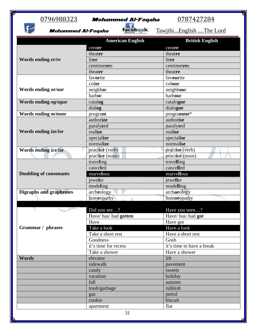$f$ 

# 0796988323 **Mohammed Al-Foqaha** 0787427284<br>**Mohammed Al-Foqaha** facebask. Tawjihi...English ....The I

Mohammed Al-Foqaha facebsek. Tawjihi...English ....The Lord

|                               | <b>American English</b> | <b>British English</b>    |
|-------------------------------|-------------------------|---------------------------|
|                               | center                  | centre                    |
|                               | theater                 | theatre                   |
| Words ending er/re            | liter                   | litre                     |
|                               | centimeters             | centimetres               |
|                               | theater                 | theatre                   |
|                               | favorite                | favourite                 |
|                               | color                   | colour                    |
| Words ending or/our           | neighbor                | neighbour                 |
|                               | harbor                  | harbour                   |
| Words ending og/ogue          | catalog                 | catalogue                 |
|                               | dialog                  | dialogue                  |
| Words ending <i>m/mme</i>     | program                 | programme*                |
|                               | authorize               | authorise                 |
|                               | paralyzed               | paralysed                 |
| Words ending <i>ize/ise</i>   | realize                 | realise                   |
|                               | specialize              | specialise                |
|                               | normalize               | normalise                 |
| Words ending ice/ise          | practice (verb)         | practise (verb)           |
|                               | practice (noun)         | practice (noun)           |
|                               | traveling               | travelling                |
|                               | canceled                | cancelled                 |
| <b>Doubling of consonants</b> | marvelous               | marvellous                |
|                               | jeweler                 | jeweller                  |
|                               | modeling                | modelling                 |
| <b>Digraphs and graphemes</b> | archeology              | archaeology               |
|                               | homeopathy              | homoeopathy               |
|                               |                         |                           |
|                               | Did you see?            | Have you seen?            |
|                               | Have/has/had gotten     | Have/has/had got          |
|                               | Have                    | Have got                  |
| Grammar / phrases             | Take a look             | Have a look               |
|                               | Take a short rest       | Have a short rest         |
|                               | Goodness                | Gosh                      |
|                               | it's time for recess    | it's time to have a break |
|                               | Take a shower           | Have a shower             |
| <b>Words</b>                  | elevator                | lift                      |
|                               | sidewalk                | pavement                  |
|                               | candy                   | sweets                    |
|                               | vacation                | holiday                   |
|                               | fall                    | autumn                    |
|                               | trash/garbage           | rubbish                   |
|                               | gas                     | petrol                    |
|                               | cookie                  | biscuit                   |
|                               | apartment               | flat                      |
|                               | 31                      |                           |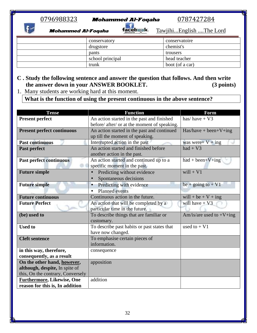# 0796988323 **Mohammed Al-Foqaha** 0787427284<br>**Mohammed Al-Foqaha façebask** Tawiihi...English ....The I

 $\mathbf{f}$ 

Mohammed Al-Foqaha facebask. Tawjihi...English ....The Lord

| conservatory     | conservatoire   |
|------------------|-----------------|
| drugstore        | chemist's       |
| pants            | trousers        |
| school principal | head teacher    |
| trunk            | boot (of a car) |

#### **C . Study the following sentence and answer the question that follows. And then write the answer down in your ANSWER BOOKLET. (3 points)**

1. Many students are working hard at this moment.

**What is the function of using the present continuous in the above sentence?**

| <b>Tense</b>                      | <b>Function</b>                              | Form                        |
|-----------------------------------|----------------------------------------------|-----------------------------|
| <b>Present perfect</b>            | An action started in the past and finished   | has/have + $V3$             |
|                                   | before/ after/ or at the moment of speaking. |                             |
| <b>Present perfect continuous</b> | An action started in the past and continued  | $Has/have + been+V+ing$     |
|                                   | up till the moment of speaking.              |                             |
| <b>Past continuous</b>            | Interrupted action in the past               | was were + $V$ + ing        |
| Past perfect                      | An action started and finished before        | $had + V3$                  |
|                                   | another action in the past.                  |                             |
| <b>Past perfect continuous</b>    | An action started and continued up to a      | $had + been+V+ing$          |
|                                   | specific moment in the past.                 |                             |
| <b>Future simple</b>              | Predicting without evidence                  | $will + V1$                 |
|                                   | Spontaneous decisions                        |                             |
| <b>Future simple</b>              | Predicting with evidence                     | be + going to + $V1$        |
|                                   | <b>Planned</b> events                        |                             |
| <b>Future continuous</b>          | Continuous action in the future.             | will + be + $V$ + ing       |
| <b>Future Perfect</b>             | An action that will be completed by a        | will have $+$ V3            |
|                                   | particular time in the future.               |                             |
| (be) used to                      | To describe things that are familiar or      | Am/is/are used to $+V+$ ing |
|                                   | customary.                                   |                             |
| <b>Used to</b>                    | To describe past habits or past states that  | used to $+V1$               |
|                                   | have now changed.                            |                             |
| <b>Cleft sentence</b>             | To emphasise certain pieces of               |                             |
|                                   | information.                                 |                             |
| in this way, therefore,           | consequence                                  |                             |
| consequently, as a result         |                                              |                             |
| On the other hand, however,       | apposition                                   |                             |
| although, despite, In spite of    |                                              |                             |
| this, On the contrary, Conversely |                                              |                             |
| <b>Furthermore, Likewise, One</b> | addition                                     |                             |
| reason for this is, In addition   |                                              |                             |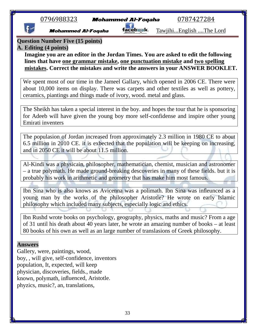**Mohammed Al-Foqaha Tacebwk** Tawjihi...English ....The Lord

**Question Number Five (15 points)**

#### **A. Editing (4 points)**

**Imagine you are an editor in the Jordan Times. You are asked to edit the following lines that have one grammar mistake, one punctuation mistake and two spelling mistakes. Correct the mistakes and write the answers in your ANSWER BOOKLET.**

We spent most of our time in the Jameel Gallary, which opened in 2006 CE. There were about 10,000 items on display. There was carpets and other textiles as well as pottery, ceramics, piantings and things made of ivory, wood. metal and glass.

The Sheikh has taken a special interest in the boy. and hopes the tour that he is sponsoring for Adeeb will have given the young boy more self-confidense and inspire other young Emirati inventers

The populasion of Jordan increased from approximately 2.3 million in 1980 CE to about 6.5 million in 2010 CE. it is exbected that the population will be keeping on increasing, and in 2050 CE it will be about 11.5 million.

Al-Kindi was a physicain, philosopher, mathematician, chemist, musician and astronomer – a true polymath. He made ground-breaking descoveries in many of these fields. but it is probably his work in arithmetic and geometry that has make him most famous.

Ibn Sina who is also knows as Avicenna was a polimath. Ibn Sina was infleunced as a young man by the works of the philosopher Aristotle? He wrote on early Islamic philosophy which included many subjects, especially logic and ethics.

Ibn Rushd wrote books on psychology, geography, physics, maths and music? From a age of 31 until his death about 40 years later, he wrote an amazing number of books – at least 80 books of his own as well as an large number of translasions of Greek philosophy.

#### **Answers**

Gallery, were, paintings, wood, boy, , will give, self-confidence, inventors population, It, expected, will keep physician, discoveries, fields., made known, polymath, influenced, Aristotle. phyzics, music?, an, translations,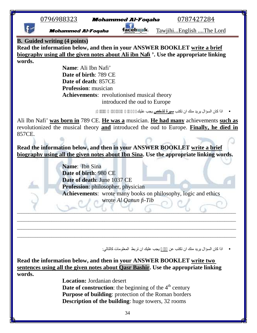|        | 0796988323                                                                              |                                                      | <b>Mohammed Al-Foqaha</b>                                                        | 0787427284 |                                                                 |
|--------|-----------------------------------------------------------------------------------------|------------------------------------------------------|----------------------------------------------------------------------------------|------------|-----------------------------------------------------------------|
|        | <b>Mohammed Al-Foqaha</b>                                                               |                                                      | cebaak,                                                                          |            | TawjihiEnglish The Lord                                         |
|        | <b>B.</b> Guided writing (4 points)                                                     |                                                      |                                                                                  |            |                                                                 |
|        | Read the information below, and then in your ANSWER BOOKLET write a brief               |                                                      |                                                                                  |            |                                                                 |
|        | biography using all the given notes about Ali ibn Nafi '. Use the appropriate linking   |                                                      |                                                                                  |            |                                                                 |
| words. |                                                                                         | Name: Ali Ibn Nafi'                                  |                                                                                  |            |                                                                 |
|        |                                                                                         | Date of birth: 789 CE                                |                                                                                  |            |                                                                 |
|        |                                                                                         | Date of death: 857CE                                 |                                                                                  |            |                                                                 |
|        |                                                                                         | <b>Profession:</b> musician                          |                                                                                  |            |                                                                 |
|        |                                                                                         |                                                      | <b>Achievements:</b> revolutionised musical theory                               |            |                                                                 |
|        |                                                                                         |                                                      | introduced the oud to Europe                                                     |            |                                                                 |
|        |                                                                                         |                                                      |                                                                                  |            | ●     اذا كان السؤال يريد منك ان تكتب <b>سيرة لشخص</b> يجب عليك |
|        | Ali Ibn Nafi' was born in 789 CE. He was a musician. He had many achievements such as   |                                                      |                                                                                  |            |                                                                 |
| 857CE. | revolutionized the musical theory and introduced the oud to Europe. Finally, he died in |                                                      |                                                                                  |            |                                                                 |
|        |                                                                                         |                                                      |                                                                                  |            |                                                                 |
|        | Read the information below, and then in your ANSWER BOOKLET write a brief               |                                                      |                                                                                  |            |                                                                 |
|        | biography using all the given notes about Ibn Sina. Use the appropriate linking words.  |                                                      |                                                                                  |            |                                                                 |
|        |                                                                                         |                                                      |                                                                                  |            |                                                                 |
|        | Name: Ibn Sina                                                                          |                                                      |                                                                                  |            |                                                                 |
|        |                                                                                         | Date of birth: 980 CE<br>Date of death: June 1037 CE |                                                                                  |            |                                                                 |
|        |                                                                                         | <b>Profession:</b> philosopher, physician            |                                                                                  |            |                                                                 |
|        |                                                                                         |                                                      | <b>Achievements:</b> wrote many books on philosophy, logic and ethics            |            |                                                                 |
|        |                                                                                         |                                                      | wrote Al Qanun fi-Tib                                                            |            |                                                                 |
|        |                                                                                         |                                                      |                                                                                  |            |                                                                 |
|        |                                                                                         |                                                      |                                                                                  |            |                                                                 |
|        |                                                                                         |                                                      |                                                                                  |            |                                                                 |
|        |                                                                                         |                                                      |                                                                                  |            |                                                                 |
|        |                                                                                         |                                                      |                                                                                  |            |                                                                 |
|        |                                                                                         |                                                      | • اذا كان السؤال يريد منك ان تكتب عن         يجب عليك ان تربط المعلومات كالتالي: |            |                                                                 |
|        | Read the information below, and then in your ANSWER BOOKLET write two                   |                                                      |                                                                                  |            |                                                                 |
|        | sentences using all the given notes about Qasr Bashir. Use the appropriate linking      |                                                      |                                                                                  |            |                                                                 |
| words. |                                                                                         |                                                      |                                                                                  |            |                                                                 |
|        |                                                                                         | <b>Location:</b> Jordanian desert                    |                                                                                  |            |                                                                 |
|        |                                                                                         |                                                      | <b>Date of construction:</b> the beginning of the $4th$ century                  |            |                                                                 |
|        |                                                                                         |                                                      | Purpose of building: protection of the Roman borders                             |            |                                                                 |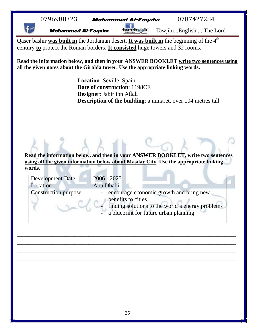Mohammed Al-Foqaha facebwk. Tawjihi...English ....The Lord

Qaser bashir was built in the Jordanian desert. It was built in the beginning of the 4<sup>th</sup> century **to** protect the Roman borders. **It consisted** huge towers and 32 rooms.

**Read the information below, and then in your ANSWER BOOKLET write two sentences using all the given notes about the Giralda tower. Use the appropriate linking words.**

> **Location** :Seville, Spain **Date of construction**: 1198CE **Designer**: Jabir ibn Aflah **Description of the building**: a minaret, over 104 metres tall

**Read the information below, and then in your ANSWER BOOKLET, write two sentences using all the given information below about Masdar City. Use the appropriate linking words.**

\_\_\_\_\_\_\_\_\_\_\_\_\_\_\_\_\_\_\_\_\_\_\_\_\_\_\_\_\_\_\_\_\_\_\_\_\_\_\_\_\_\_\_\_\_\_\_\_\_\_\_\_\_\_\_\_\_\_\_\_\_\_\_\_\_\_\_\_\_\_\_\_\_\_\_\_\_\_\_\_\_\_\_\_\_\_\_\_\_\_\_\_\_\_\_ \_\_\_\_\_\_\_\_\_\_\_\_\_\_\_\_\_\_\_\_\_\_\_\_\_\_\_\_\_\_\_\_\_\_\_\_\_\_\_\_\_\_\_\_\_\_\_\_\_\_\_\_\_\_\_\_\_\_\_\_\_\_\_\_\_\_\_\_\_\_\_\_\_\_\_\_\_\_\_\_\_\_\_\_\_\_\_\_\_\_\_\_\_\_\_ \_\_\_\_\_\_\_\_\_\_\_\_\_\_\_\_\_\_\_\_\_\_\_\_\_\_\_\_\_\_\_\_\_\_\_\_\_\_\_\_\_\_\_\_\_\_\_\_\_\_\_\_\_\_\_\_\_\_\_\_\_\_\_\_\_\_\_\_\_\_\_\_\_\_\_\_\_\_\_\_\_\_\_\_\_\_\_\_\_\_\_\_\_\_\_ \_\_\_\_\_\_\_\_\_\_\_\_\_\_\_\_\_\_\_\_\_\_\_\_\_\_\_\_\_\_\_\_\_\_\_\_\_\_\_\_\_\_\_\_\_\_\_\_\_\_\_\_\_\_\_\_\_\_\_\_\_\_\_\_\_\_\_\_\_\_\_\_\_\_\_\_\_\_\_\_\_\_\_\_\_\_\_\_\_\_\_\_\_\_\_

| <b>Development Date</b>     | $2006 - 2025$                                                                                                                                              |
|-----------------------------|------------------------------------------------------------------------------------------------------------------------------------------------------------|
| Location                    | Abu Dhabi                                                                                                                                                  |
| <b>Construction purpose</b> | encourage economic growth and bring new<br>benefits to cities<br>finding solutions to the world's energy problems<br>a blueprint for future urban planning |

\_\_\_\_\_\_\_\_\_\_\_\_\_\_\_\_\_\_\_\_\_\_\_\_\_\_\_\_\_\_\_\_\_\_\_\_\_\_\_\_\_\_\_\_\_\_\_\_\_\_\_\_\_\_\_\_\_\_\_\_\_\_\_\_\_\_\_\_\_\_\_\_\_\_\_\_\_\_\_\_\_\_\_\_\_\_\_\_\_\_\_\_\_\_\_ \_\_\_\_\_\_\_\_\_\_\_\_\_\_\_\_\_\_\_\_\_\_\_\_\_\_\_\_\_\_\_\_\_\_\_\_\_\_\_\_\_\_\_\_\_\_\_\_\_\_\_\_\_\_\_\_\_\_\_\_\_\_\_\_\_\_\_\_\_\_\_\_\_\_\_\_\_\_\_\_\_\_\_\_\_\_\_\_\_\_\_\_\_\_\_ \_\_\_\_\_\_\_\_\_\_\_\_\_\_\_\_\_\_\_\_\_\_\_\_\_\_\_\_\_\_\_\_\_\_\_\_\_\_\_\_\_\_\_\_\_\_\_\_\_\_\_\_\_\_\_\_\_\_\_\_\_\_\_\_\_\_\_\_\_\_\_\_\_\_\_\_\_\_\_\_\_\_\_\_\_\_\_\_\_\_\_\_\_\_\_ \_\_\_\_\_\_\_\_\_\_\_\_\_\_\_\_\_\_\_\_\_\_\_\_\_\_\_\_\_\_\_\_\_\_\_\_\_\_\_\_\_\_\_\_\_\_\_\_\_\_\_\_\_\_\_\_\_\_\_\_\_\_\_\_\_\_\_\_\_\_\_\_\_\_\_\_\_\_\_\_\_\_\_\_\_\_\_\_\_\_\_\_\_\_\_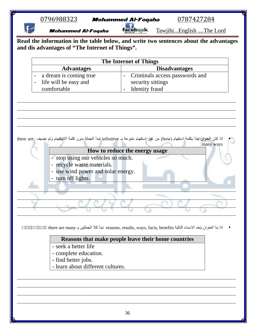| 0796988323                | <b>Mohammed Al-Foqaha</b> | 0787427284              | ₩ |
|---------------------------|---------------------------|-------------------------|---|
| <b>Mohammed Al-Foqaha</b> |                           | TawiihiEnglish The Lord |   |

**Read the information in the table below, and write two sentences about the advantages and dis advantages of "The Internet of Things".**

| The Internet of Things                    |                                  |  |  |  |
|-------------------------------------------|----------------------------------|--|--|--|
| <b>Disadvantages</b><br><b>Advantages</b> |                                  |  |  |  |
| - a dream is coming true                  | - Criminals access passwords and |  |  |  |
| - life will be easy and                   | security sittings                |  |  |  |
| comfortable                               | - Identity fraud                 |  |  |  |

\_\_\_\_\_\_\_\_\_\_\_\_\_\_\_\_\_\_\_\_\_\_\_\_\_\_\_\_\_\_\_\_\_\_\_\_\_\_\_\_\_\_\_\_\_\_\_\_\_\_\_\_\_\_\_\_\_\_\_\_\_\_\_\_\_\_\_\_\_\_\_\_\_\_\_\_\_\_\_\_\_\_\_\_\_\_\_\_\_\_\_\_\_\_\_ \_\_\_\_\_\_\_\_\_\_\_\_\_\_\_\_\_\_\_\_\_\_\_\_\_\_\_\_\_\_\_\_\_\_\_\_\_\_\_\_\_\_\_\_\_\_\_\_\_\_\_\_\_\_\_\_\_\_\_\_\_\_\_\_\_\_\_\_\_\_\_\_\_\_\_\_\_\_\_\_\_\_\_\_\_\_\_\_\_\_\_\_\_\_\_ \_\_\_\_\_\_\_\_\_\_\_\_\_\_\_\_\_\_\_\_\_\_\_\_\_\_\_\_\_\_\_\_\_\_\_\_\_\_\_\_\_\_\_\_\_\_\_\_\_\_\_\_\_\_\_\_\_\_\_\_\_\_\_\_\_\_\_\_\_\_\_\_\_\_\_\_\_\_\_\_\_\_\_\_\_\_\_\_\_\_\_\_\_\_\_ \_\_\_\_\_\_\_\_\_\_\_\_\_\_\_\_\_\_\_\_\_\_\_\_\_\_\_\_\_\_\_\_\_\_\_\_\_\_\_\_\_\_\_\_\_\_\_\_\_\_\_\_\_\_\_\_\_\_\_\_\_\_\_\_\_\_\_\_\_\_\_\_\_\_\_\_\_\_\_\_\_\_\_\_\_\_\_\_\_\_\_\_\_\_\_

 اذا كان العنوان یبدأ بكلمة استفھام (how (من غیر استفھام متبوعة بـ infinitive نبدأ الجملة بدون كلمة الاستفھام وثم نضیف are there .many ways

|  | How to reduce the energy usage |  |
|--|--------------------------------|--|
|  |                                |  |

- stop using our vehicles so much.
- recycle waste materials.
- use wind power and solar energy.
- turn off lights.

اذا بدأ العنوان بإحد الاسماء التالیة benefits ,facts ,ways ,results ,reasons نبدأ كلا الجملتین بـ many are there وثم بكامل العنوان

 $\mathcal{L} = \{ \mathcal{L} \mid \mathcal{L} \in \mathcal{L} \}$  , where  $\mathcal{L} = \{ \mathcal{L} \mid \mathcal{L} \in \mathcal{L} \}$  , where  $\mathcal{L} = \{ \mathcal{L} \mid \mathcal{L} \in \mathcal{L} \}$  $\Box$  $\Box$  $\mathcal{L} = \mathcal{L} = \mathcal{L} = \mathcal{L} = \mathcal{L} = \mathcal{L} = \mathcal{L} = \mathcal{L} = \mathcal{L} = \mathcal{L} = \mathcal{L} = \mathcal{L} = \mathcal{L} = \mathcal{L} = \mathcal{L} = \mathcal{L} = \mathcal{L} = \mathcal{L} = \mathcal{L} = \mathcal{L} = \mathcal{L} = \mathcal{L} = \mathcal{L} = \mathcal{L} = \mathcal{L} = \mathcal{L} = \mathcal{L} = \mathcal{L} = \mathcal{L} = \mathcal{L} = \mathcal{L} = \mathcal$ 

#### **Reasons that make people leave their home countries**

- seek a better life
- complete education.
- find better jobs.
- learn about different cultures.

\_\_\_\_\_\_\_\_\_\_\_\_\_\_\_\_\_\_\_\_\_\_\_\_\_\_\_\_\_\_\_\_\_\_\_\_\_\_\_\_\_\_\_\_\_\_\_\_\_\_\_\_\_\_\_\_\_\_\_\_\_\_\_\_\_\_\_\_\_\_\_\_\_\_\_\_\_\_\_\_\_\_\_\_\_\_\_\_\_\_\_\_\_\_\_ \_\_\_\_\_\_\_\_\_\_\_\_\_\_\_\_\_\_\_\_\_\_\_\_\_\_\_\_\_\_\_\_\_\_\_\_\_\_\_\_\_\_\_\_\_\_\_\_\_\_\_\_\_\_\_\_\_\_\_\_\_\_\_\_\_\_\_\_\_\_\_\_\_\_\_\_\_\_\_\_\_\_\_\_\_\_\_\_\_\_\_\_\_\_\_ \_\_\_\_\_\_\_\_\_\_\_\_\_\_\_\_\_\_\_\_\_\_\_\_\_\_\_\_\_\_\_\_\_\_\_\_\_\_\_\_\_\_\_\_\_\_\_\_\_\_\_\_\_\_\_\_\_\_\_\_\_\_\_\_\_\_\_\_\_\_\_\_\_\_\_\_\_\_\_\_\_\_\_\_\_\_\_\_\_\_\_\_\_\_\_ \_\_\_\_\_\_\_\_\_\_\_\_\_\_\_\_\_\_\_\_\_\_\_\_\_\_\_\_\_\_\_\_\_\_\_\_\_\_\_\_\_\_\_\_\_\_\_\_\_\_\_\_\_\_\_\_\_\_\_\_\_\_\_\_\_\_\_\_\_\_\_\_\_\_\_\_\_\_\_\_\_\_\_\_\_\_\_\_\_\_\_\_\_\_\_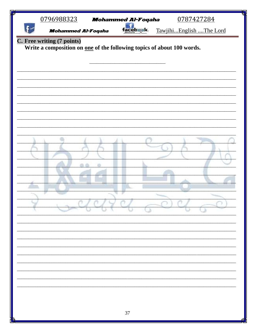| P | 0796988323                                                             | <b>Mohammed Al-Foqaha</b> |          | 0787427284              |
|---|------------------------------------------------------------------------|---------------------------|----------|-------------------------|
|   | <b>Mohammed Al-Foqaha</b>                                              |                           | асепжык. | TawjihiEnglish The Lord |
|   | C. Free writing (7 points)                                             |                           |          |                         |
|   | Write a composition on one of the following topics of about 100 words. |                           |          |                         |
|   |                                                                        |                           |          |                         |
|   |                                                                        |                           |          |                         |
|   |                                                                        |                           |          |                         |
|   |                                                                        |                           |          |                         |
|   |                                                                        |                           |          |                         |
|   |                                                                        |                           |          |                         |
|   |                                                                        |                           |          |                         |
|   |                                                                        |                           |          |                         |
|   |                                                                        |                           |          |                         |
|   |                                                                        |                           |          |                         |
|   |                                                                        |                           |          |                         |
|   |                                                                        |                           |          |                         |
|   |                                                                        |                           |          |                         |
|   |                                                                        |                           |          |                         |
|   |                                                                        |                           |          |                         |
|   |                                                                        |                           |          |                         |
|   |                                                                        |                           |          |                         |
|   |                                                                        |                           |          |                         |
|   |                                                                        |                           |          |                         |
|   |                                                                        |                           |          |                         |
|   |                                                                        |                           |          |                         |
|   |                                                                        |                           |          |                         |
|   |                                                                        |                           |          |                         |
|   |                                                                        |                           |          |                         |
|   |                                                                        | 37                        |          |                         |